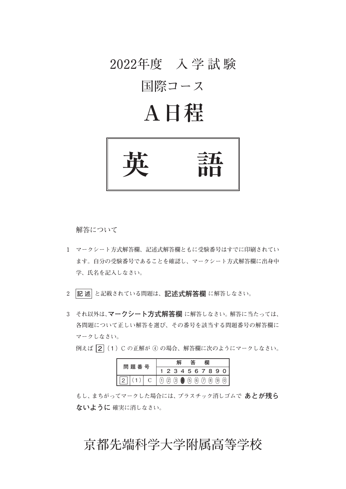### **2022年度 入 学 試 験**

### **国際コース**

# **A日程**



 **解答について**

- **1 マークシート方式解答欄、記述式解答欄ともに受験番号はすでに印刷されてい ます。自分の受験番号であることを確認し、マークシート方式解答欄に出身中 学、氏名を記入しなさい。**
- **2 記 述 と記載されている問題は、記述式解答欄 に解答しなさい。**
- **3 それ以外は、マークシート方式解答欄 に解答しなさい。解答に当たっては、 各問題について正しい解答を選び、その番号を該当する問題番号の解答欄に マークしなさい。**

 **例えば  2**(1)C の**正解が ④ の場合、解答欄に次のようにマークしなさい。**

| 番号 |        |  |          |     |     |     |     |                        |          |  |
|----|--------|--|----------|-----|-----|-----|-----|------------------------|----------|--|
|    | 問<br>題 |  |          |     |     |     |     |                        | 34567890 |  |
|    |        |  | $^{'}2)$ | (3) | (5) | (6) | (7) | $\left( \circ \right)$ | 9)       |  |

 **もし、まちがってマークした場合には、プラスチック消しゴムで あとが残ら ないように 確実に消しなさい。**

### **京都先端科学大学附属高等学校**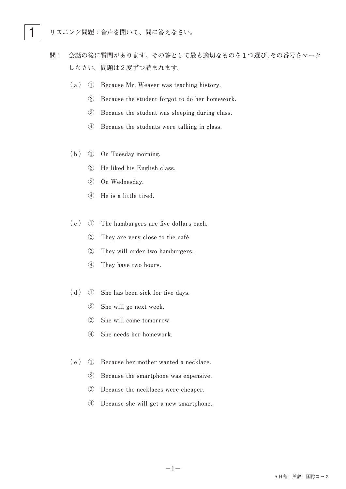- 問1 **会話の後に質問があります。その答として最も適切なものを1つ選び、その番号をマーク しなさい。問題は2度ずつ読まれます。**
	- **(a) ① Because Mr. Weaver was teaching history.**
		- **②** Because the student forgot to do her homework.
		- 3 Because the student was sleeping during class.
		- **(4)** Because the students were talking in class.
	- **(b) ① On Tuesday morning.**
		- **② He liked his English class.**
		- **③ On Wednesday.**
		- **④ He is a little tired.**
	- (c) ① The hamburgers are five dollars each.
		- 2 They are very close to the café.
		- **3** They will order two hamburgers.
		- **4** They have two hours.
	- (d) ① She has been sick for five days.
		- **② She will go next week.**
		- 3 She will come tomorrow.
		- **④ She needs her homework.**
	- (e) ① Because her mother wanted a necklace.
		- 2 Because the smartphone was expensive.
		- **3** Because the necklaces were cheaper.
		- **④ Because she will get a new smartphone.**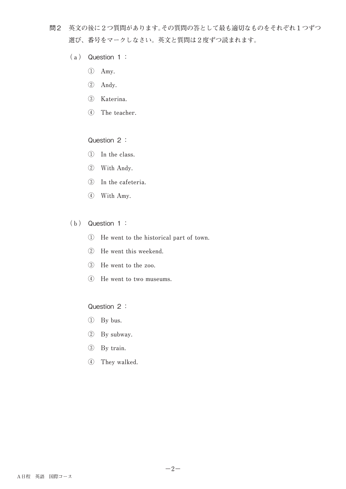- 問2 **英文の後に2つ質問があります。その質問の答として最も適切なものをそれぞれ1つずつ 選び、番号をマークしなさい。英文と質問は2度ずつ読まれます。**
	- **(a)**  Question 1:
		- **① Amy.**
		- **② Andy.**
		- **③ Katerina.**
		- **4** The teacher.

#### Question 2:

- **① In the class.**
- **② With Andy.**
- **(3)** In the cafeteria.
- **④ With Amy.**
- **(b)**  Question 1:
	- **① He went to the historical part of town.**
	- **2** He went this weekend.
	- 3 He went to the zoo.
	- **4** He went to two museums.

#### Question 2:

- **① By bus.**
- **② By subway.**
- **③ By train.**
- **④ They walked.**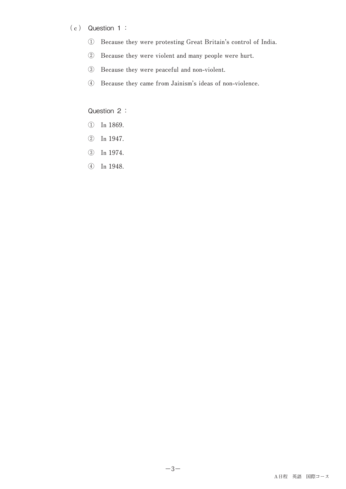#### **(c)**  Question 1:

- **① Because they were protesting Great Britain's control of India.**
- **② Because they were violent and many people were hurt.**
- 3 Because they were peaceful and non-violent.
- **④ Because they came from Jainism's ideas of non-violence.**

#### Question 2 :

- **① In 1869.**
- **② In 1947.**
- **③ In 1974.**
- **④ In 1948.**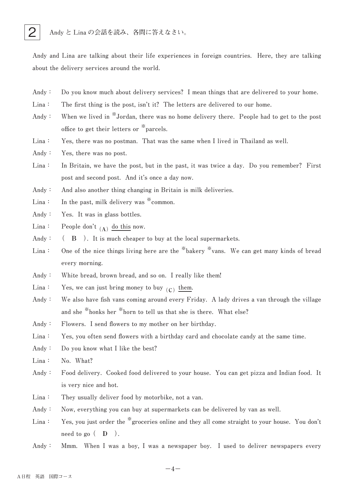

Andy and Lina are talking about their life experiences in foreign countries. Here, they are talking about the delivery services around the world.

- Andy: Do you know much about delivery services? I mean things that are delivered to your home.
- $Lina:$  The first thing is the post, isn't it? The letters are delivered to our home.
- Andy: When we lived in <sup>\*\*</sup>Jordan, there was no home delivery there. People had to get to the post **office** to get their letters or <sup>\*</sup> parcels.
- Lina: Yes, there was no postman. That was the same when I lived in Thailand as well.
- Andy: Yes, there was no post.
- Lina: In Britain, we have the post, but in the past, it was twice a day. Do you remember? First post and second post. And it's once a day now.
- Andy: And also another thing changing in Britain is milk deliveries.
- Lina: In the past, milk delivery was \* common.
- Andy: Yes. It was in glass bottles.
- $\text{Lina:}$  People don't  $\begin{bmatrix} A \end{bmatrix}$  do this now.
- Andy:  $(A \cap B)$ . It is much cheaper to buy at the local supermarkets.
- Lina: One of the nice things living here are the <sup>\*\*</sup>bakery \*\*vans. We can get many kinds of bread **every morning.**
- Andy: White bread, brown bread, and so on. I really like them!
- $\text{Lina:}$  Yes, we can just bring money to buy  $\text{\(C)}$  them.
- Andy: We also have fish vans coming around every Friday. A lady drives a van through the village and she <sup>\*\*</sup>honks her <sup>\*\*</sup>horn to tell us that she is there. What else?
- Andy: Flowers. I send flowers to my mother on her birthday.

Lina: Yes, you often send flowers with a birthday card and chocolate candy at the same time.

- Andy: Do you know what I like the best?
- Lina: No. What?
- Andy: Food delivery. Cooked food delivered to your house. You can get pizza and Indian food. It is very nice and hot.
- Lina: They usually deliver food by motorbike, not a van.
- Andy: Now, everything you can buy at supermarkets can be delivered by van as well.
- Lina: Yes, you just order the <sup>\*\*</sup>groceries online and they all come straight to your house. You don't  $\text{need}$  to go  $($  **D**  $).$
- Andy: Mmm. When I was a boy, I was a newspaper boy. I used to deliver newspapers every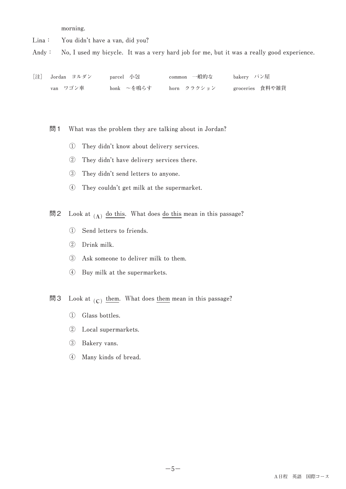**morning.**

Lina: You didn't have a van, did you?

Andy: No, I used my bicycle. It was a very hard job for me, but it was a really good experience.

| [注] Jordan ヨルダン | parcel 小包  | common 一般的な | bakery パン屋      |
|-----------------|------------|-------------|-----------------|
| van ワゴン車        | honk ~を鳴らす | horn クラクション | groceries 食料や雑貨 |

問 1 What was the problem they are talking about in Jordan?

- **① They didn't know about delivery services.**
- **② They didn't have delivery services there.**
- 3 They didn't send letters to anyone.
- **④ They couldn't get milk at the supermarket.**

問2 Look at  $\begin{array}{c} \text{(A)} \end{array}$  <u>do this</u>. What does <u>do this</u> mean in this passage?

- **① Send letters to friends.**
- **② Drink milk.**
- **3** Ask someone to deliver milk to them.
- **④ Buy milk at the supermarkets.**
- 問3 Look at  $\overline{\text{(c)}}$  <u>them</u>. What does <u>them</u> mean in this passage?
	- **① Glass bottles.**
	- **② Local supermarkets.**
	- **③ Bakery vans.**
	- **④ Many kinds of bread.**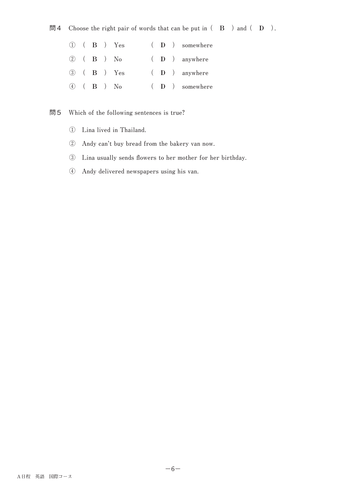#### 問4 Choose the right pair of words that can be put in  $($  B  $)$  and  $($  D  $)$ .

|  |  | $(1)$ $(B)$ $Yes$       |  | $(D)$ somewhere |
|--|--|-------------------------|--|-----------------|
|  |  | $(2)$ $(B)$ $No$        |  | $(D)$ anywhere  |
|  |  | (3) ( <b>B</b> ) Yes    |  | $(D)$ anywhere  |
|  |  | $\overline{4}$ ( B ) No |  | $(D)$ somewhere |

#### 問5 Which of the following sentences is true?

- **① Lina lived in Thailand.**
- **② Andy can't buy bread from the bakery van now.**
- **③ Lina usually sends flowers to her mother for her birthday.**
- **④ Andy delivered newspapers using his van.**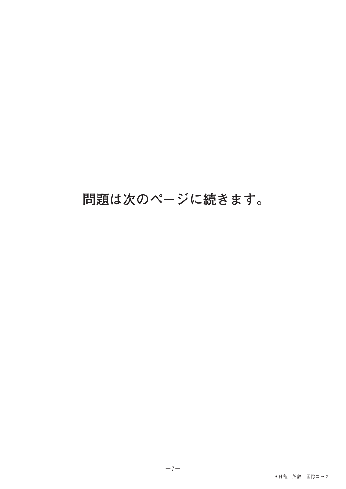## **問題は次のページに続きます。**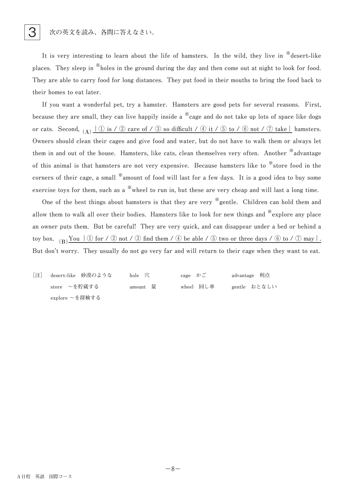It is very interesting to learn about the life of hamsters. In the wild, they live in <sup>\*</sup>\*desert-like places. They sleep in <sup>\*\*</sup>holes in the ground during the day and then come out at night to look for food. They are able to carry food for long distances. They put food in their mouths to bring the food back to their homes to eat later.

If you want a wonderful pet, try a hamster. Hamsters are good pets for several reasons. First, **because** they are small, they can live happily inside a <sup>\*\*</sup> cage and do not take up lots of space like dogs **or** cats. Second,  $(A)$   $\{ \textcircled{1}$  is  $\}$   $\emptyset$  care of  $\neq$   $\emptyset$  so difficult  $\neq$   $\emptyset$  it  $\neq$   $\emptyset$  bo  $\neq$   $\emptyset$  not  $\neq$   $\emptyset$  take  $\}$  hamsters. Owners should clean their cages and give food and water, but do not have to walk them or always let them in and out of the house. Hamsters, like cats, clean themselves very often. Another <sup>\*\*</sup>advantage of this animal is that hamsters are not very expensive. Because hamsters like to \*store food in the corners of their cage, a small <sup>\*</sup>amount of food will last for a few days. It is a good idea to buy some exercise toys for them, such as a <sup>\*\*</sup> wheel to run in, but these are very cheap and will last a long time.

One of the best things about hamsters is that they are very <sup>\*\*</sup> gentle. Children can hold them and **allow** them to walk all over their bodies. Hamsters like to look for new things and \*explore any place an owner puts them. But be careful! They are very quick, and can disappear under a bed or behind a toy box.  $(B)$   $\overline{Y}$ ou  $\{ \textcircled{1}$  for  $\neq$   $\textcircled{2}$  not  $\neq$   $\textcircled{3}$  find them  $\neq$   $\emptyset$  be able  $\neq$   $\textcircled{3}$  two or three days  $\neq$   $\textcircled{6}$  to  $\neq$   $\textcircled{7}$  may  $\}$ . But don't worry. They usually do not go very far and will return to their cage when they want to eat.

**[注] desert-like 砂漠のような hole 穴 cage かご advantage 利点 store ~を貯蔵する amount 量 wheel 回し車 gentle おとなしい explore ~を探検する**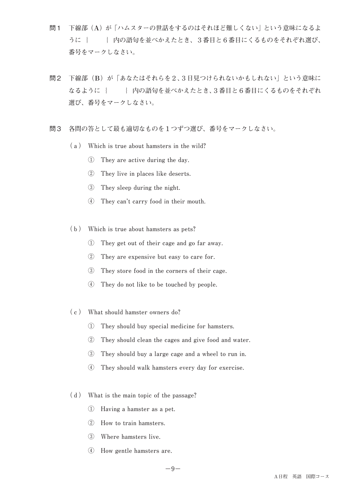- 問1 **下線部(A)が「ハムスターの世話をするのはそれほど難しくない」という意味になるよ** うに { } **内の語句を並べかえたとき、3番目と6番目にくるものをそれぞれ選び、 番号をマークしなさい。**
- 問2 **下線部(B)が「あなたはそれらを2、3日見つけられないかもしれない」という意味に なるように{ }内の語句を並べかえたとき、3番目と6番目にくるものをそれぞれ 選び、番号をマークしなさい。**
- 問3 **各問の答として最も適切なものを1つずつ選び、番号をマークしなさい。**
	- (a) Which is true about hamsters in the wild?
		- **1** They are active during the day.
		- **②** They live in places like deserts.
		- **3** They sleep during the night.
		- **4** They can't carry food in their mouth.
	- (b) Which is true about hamsters as pets?
		- **① They get out of their cage and go far away.**
		- 2 They are expensive but easy to care for.
		- **3** They store food in the corners of their cage.
		- **④ They do not like to be touched by people.**
	- **(c) What should hamster owners do?**
		- **① They should buy special medicine for hamsters.**
		- **② They should clean the cages and give food and water.**
		- **3** They should buy a large cage and a wheel to run in.
		- **4** They should walk hamsters every day for exercise.
	- (d) What is the main topic of the passage?
		- **① Having a hamster as a pet.**
		- **② How to train hamsters.**
		- **③ Where hamsters live.**
		- **④ How gentle hamsters are.**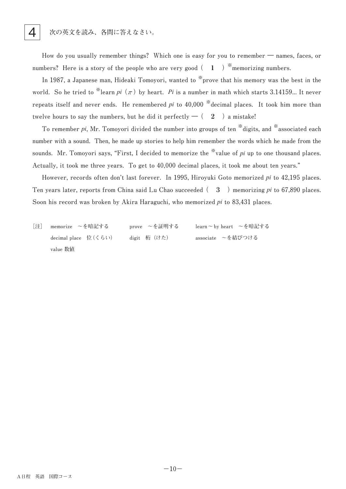How do you usually remember things? Which one is easy for you to remember — names, faces, or **numbers?** Here is a story of the people who are very good  $( 1 )$  \* memorizing numbers.

In 1987, a Japanese man, Hideaki Tomoyori, wanted to <sup>\*\*</sup>prove that his memory was the best in the world. So he tried to <sup>\*\*</sup>learn  $pi$ <sup></sup> ( $\pi$ ) by heart. Pi is a number in math which starts 3.14159... It never **repeats** itself and never ends. He remembered *pi* to 40,000 \*decimal places. It took him more than twelve hours to say the numbers, but he did it perfectly  $-(-2)$  a mistake!

To remember *pi*, Mr. Tomoyori divided the number into groups of ten <sup>\*\*</sup>digits, and <sup>\*\*</sup>associated each number with a sound. Then, he made up stories to help him remember the words which he made from the sounds. Mr. Tomoyori says, "First, I decided to memorize the  $\frac{1}{2}$  value of *pi* up to one thousand places. Actually, it took me three years. To get to 40,000 decimal places, it took me about ten years."

However, records often don't last forever. In 1995, Hiroyuki Goto memorized *pi* to 42,195 places. Ten years later, reports from China said Lu Chao succeeded  $( 3 )$  memorizing *pi* to 67,890 places. Soon his record was broken by Akira Haraguchi, who memorized *pi* to 83,431 places.

**[注] memorize ~を暗記する prove ~を証明する learn~by heart ~を暗記する** decimal place 位(くらい) digit 桁(けた) associate ~を結びつける **value 数値**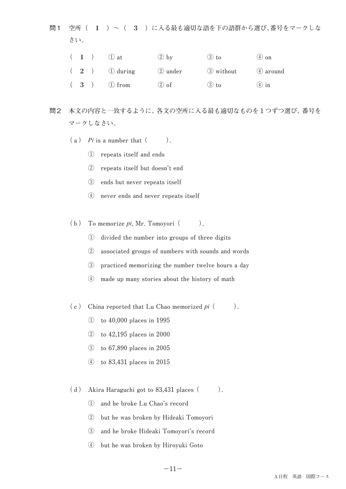問1 **空所( 1 )~( 3 )に入る最も適切な語を下の語群から選び、番号をマークしな さい。**

|  | $(1)$ $(1)$ at | $(2)$ by | $(3)$ to           | $(4)$ on |
|--|----------------|----------|--------------------|----------|
|  | $(2)$ 1 during | 2 under  | 3 without 4 around |          |
|  | $(3)$ 1 from   | $(2)$ of | $(3)$ to           | $(4)$ in |

- 問2 **本文の内容と一致するように、各文の空所に入る最も適切なものを1つずつ選び、番号を マークしなさい。**
	- $(a)$  *Pi* is a number that  $($ ).
		- **① repeats itself and ends**
		- **② repeats itself but doesn't end**
		- **③ ends but never repeats itself**
		- **④ never ends and never repeats itself**
	- $(b)$  To memorize *pi*, Mr. Tomoyori  $($ ).
		- **① divided the number into groups of three digits**
		- **② associated groups of numbers with sounds and words**
		- **3** practiced memorizing the number twelve hours a day
		- **4** made up many stories about the history of math
	- $(c)$  China reported that Lu Chao memorized *pi*  $($ 
		- **① to 40,000 places in 1995**
		- **② to 42,195 places in 2000**
		- **③ to 67,890 places in 2005**
		- **④ to 83,431 places in 2015**
	- $(d)$  Akira Haraguchi got to 83,431 places  $($ ).
		- **① and he broke Lu Chao's record**
		- 2 but he was broken by Hideaki Tomoyori
		- 3 and he broke Hideaki Tomoyori's record
		- **④ but he was broken by Hiroyuki Goto**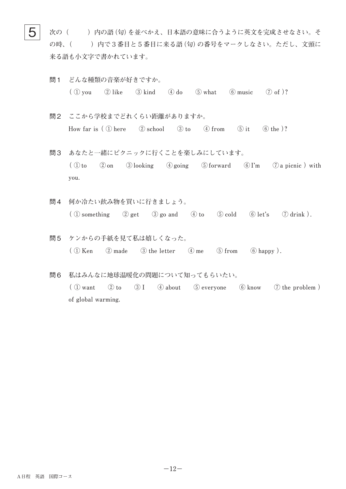$\mathbf{5} \models$  次の( )内の語(句)を並べかえ、日本語の意味に合うように英文を完成させなさい。そ **の時、( )内で3番目と5番目に来る語(句)の番号をマークしなさい。ただし、文頭に 来る語も小文字で書かれています。**

- 問1 **どんな種類の音楽が好きですか。**  $\left(\begin{array}{ccc} \textcircled{1} \text{ you} & \textcircled{2} \text{ like} & \textcircled{3} \text{ kind} & \textcircled{4} \text{ do} & \textcircled{5} \text{ what} & \textcircled{6} \text{ music} & \textcircled{7} \text{ of} \end{array} \right)$ ?
- 問2 **ここから学校までどれくらい距離がありますか。 How** far is  $(\text{1) here}$   $(\text{2) school}$   $(\text{3) to}$   $(\text{4) from}$   $(\text{5) it}$   $(\text{6) the })?$
- 問3 **あなたと一緒にピクニックに行くことを楽しみにしています。**  $\left(\begin{array}{ccc} \mathbb{O} & \mathbb{O} & \mathbb{O} \\ \mathbb{O} & \mathbb{O} & \mathbb{O} \end{array}\right)$  a picnic  $\mathbb{O}$  and  $\mathbb{O} & \mathbb{O} & \mathbb{O} \end{array}$  a picnic  $\mathbb{O}$  with **you.**
- 問4 **何か冷たい飲み物を買いに行きましょう。**  $\overline{(\text{1})}$  something  $\overline{(\text{2})}$  get  $\overline{(\text{3})}$  go and  $\overline{(\text{4})}$  to  $\overline{(\text{5})}$  cold  $\overline{(\text{6})}$  let's  $\overline{(\text{7})}$  drink  $\overline{(\text{6})}$ .
- 問5 **ケンからの手紙を見て私は嬉しくなった。**  $\left(\begin{array}{ccc} 0 & \text{Ken} \\ \end{array}\right)$   $\left(\begin{array}{ccc} 0 & \text{made} \\ \end{array}\right)$   $\left(\begin{array}{ccc} 0 & \text{the letter} \\ \end{array}\right)$   $\left(\begin{array}{ccc} 0 & \text{from} \\ \end{array}\right)$   $\left(\begin{array}{ccc} 0 & \text{happy} \\ \end{array}\right)$ .
- 問6 **私はみんなに地球温暖化の問題について知ってもらいたい。**  $\left(\begin{array}{ccc} \textcircled{1} \text{ want} & \textcircled{2} \text{ to} & \textcircled{3} \text{ I} & \textcircled{4} \text{ about} & \textcircled{5} \text{ everywhere} & \textcircled{6} \text{ know} & \textcircled{7} \text{ the problem} \end{array}\right)$ of global warming.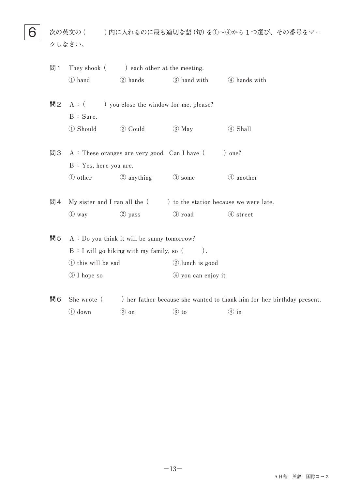**6** 次の英文の()内に入れるのに最も適切な語(句)を①~4から1つ選び、その番号をマー **クしなさい。**

| 問1 | They shook (                                      | ) each other at the meeting.                   |                                                                          |                                                                        |  |  |  |
|----|---------------------------------------------------|------------------------------------------------|--------------------------------------------------------------------------|------------------------------------------------------------------------|--|--|--|
|    | 1 hand                                            | 2 hands                                        | 3 hand with 4 hands with                                                 |                                                                        |  |  |  |
|    |                                                   |                                                |                                                                          |                                                                        |  |  |  |
| 問2 |                                                   | $A:$ ( ) you close the window for me, please?  |                                                                          |                                                                        |  |  |  |
|    | B : Sure.                                         |                                                |                                                                          |                                                                        |  |  |  |
|    | 1 Should                                          | 2 Could                                        | $\circled{3}$ May                                                        | 4 Shall                                                                |  |  |  |
|    |                                                   |                                                |                                                                          |                                                                        |  |  |  |
| 問3 |                                                   | $A:$ These oranges are very good. Can I have ( |                                                                          | ) one?                                                                 |  |  |  |
|    | B: Yes, here you are.                             |                                                |                                                                          |                                                                        |  |  |  |
|    | ① other                                           | 2 anything                                     | 3 some                                                                   | 4 another                                                              |  |  |  |
|    |                                                   |                                                |                                                                          |                                                                        |  |  |  |
| 問4 |                                                   |                                                | My sister and I ran all the $($ $)$ to the station because we were late. |                                                                        |  |  |  |
|    | $\circled{1}$ way                                 | 2 pass                                         | 3 road                                                                   | 4 street                                                               |  |  |  |
|    |                                                   |                                                |                                                                          |                                                                        |  |  |  |
| 問5 |                                                   | $A: Do you think it will be sunny tomorrow?$   |                                                                          |                                                                        |  |  |  |
|    | B: I will go hiking with my family, so (<br>$)$ . |                                                |                                                                          |                                                                        |  |  |  |
|    | 1) this will be sad                               |                                                | 2 lunch is good                                                          |                                                                        |  |  |  |
|    | 3 I hope so                                       |                                                | $(4)$ you can enjoy it                                                   |                                                                        |  |  |  |
|    |                                                   |                                                |                                                                          |                                                                        |  |  |  |
| 問6 | She wrote (                                       |                                                |                                                                          | ) her father because she wanted to thank him for her birthday present. |  |  |  |

 $\textcircled{1}$  down  $\textcircled{2}$  on  $\textcircled{3}$  to  $\textcircled{4}$  in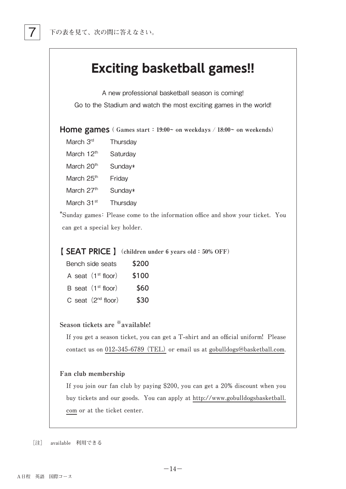

A new professional basketball season is coming! Go to the Stadium and watch the most exciting games in the world!

**Home games ( Games start : 19:00~ on weekdays / 18:00~ on weekends)**

- March 3<sup>rd</sup> Thursday
- March 12<sup>th</sup> Saturday
- March  $20<sup>th</sup>$  Sunday\*
- March 25<sup>th</sup> Friday
- March  $27<sup>th</sup>$  Sunday\*
- March 31<sup>st</sup> Thursday

\*Sunday games: Please come to the information office and show your ticket. You can get a special key holder.

#### **【 SEAT PRICE 】(children under 6 years old: 50% OFF)**

| \$200 | Bench side seats               |
|-------|--------------------------------|
| \$100 | A seat $(1st floor)$           |
| \$60  | B seat (1 <sup>st</sup> floor) |
| \$30  | C seat $(2^{nd}$ floor)        |

#### **Season tickets are ※available!**

If you get a season ticket, you can get a T-shirt and an official uniform! Please contact us on 012-345-6789 (TEL) or email us at gobulldogs@basketball.com.

#### **Fan club membership**

If you join our fan club by paying \$200, you can get a 20% discount when you buy tickets and our goods. You can apply at http://www.gobulldogsbasketball. com or at the ticket center.

**[注] available 利用できる**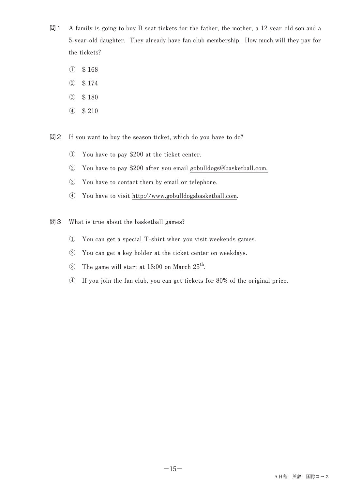- 問1 A family is going to buy B seat tickets for the father, the mother, a 12 year-old son and a **5-year-old daughter.** They already have fan club membership. How much will they pay for the tickets?
	- **① \$ 168**
	- **② \$ 174**
	- **③ \$ 180**
	- **④ \$ 210**

問2 If you want to buy the season ticket, which do you have to do?

- **① You have to pay \$200 at the ticket center.**
- **②** You have to pay \$200 after you email gobulldogs@basketball.com.
- **3** You have to contact them by email or telephone.
- **④ You have to visit http://www.gobulldogsbasketball.com.**
- 問3 What is true about the basketball games?
	- **① You can get a special T-shirt when you visit weekends games.**
	- **② You can get a key holder at the ticket center on weekdays.**
	- 3 The game will start at 18:00 on March 25<sup>th</sup>.
	- **④ If you join the fan club, you can get tickets for 80% of the original price.**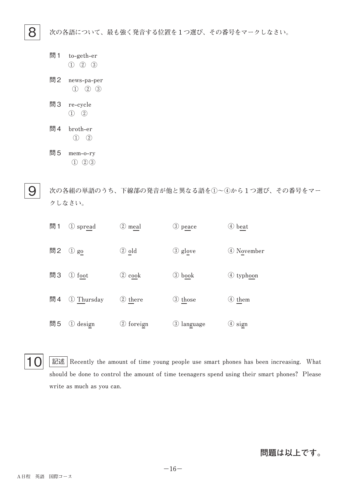8 **次の各語について、最も強く発音する位置を1つ選び、その番号をマークしなさい。**

- 問1 **t ① ② ③ o-g eth-e r**
- 問2 **n ① ② ③ ews-p a-p er**
- 問3 **r ① ② e-c ycle**
- 問4 **b ① ② roth-e r**
- 問5 **m ① ② ③** em-o-ry

9  **次の各組の単語のうち、下線部の発音が他と異なる語を①~④から1つ選び、その番号をマー クしなさい。**

| 問1 | 1 spread                                    | 2 meal             | 3 peace      | 4 beat                 |
|----|---------------------------------------------|--------------------|--------------|------------------------|
| 問2 | $\bigcirc$ go                               | ② old              | 3 glove      | 4 November             |
| 問3 | foot<br>$\left(1\right)$                    | $\circled{2}$ cook | 3 book       | 4 typhoon              |
| 問4 | 1 Thursday                                  | 2 there            | 3 those      | 4 them                 |
| 問5 | design<br>$\begin{pmatrix} 1 \end{pmatrix}$ | 2 foreign          | (3) language | $\textcircled{4}$ sign |

10 **EE E Recently** the amount of time young people use smart phones has been increasing. What should be done to control the amount of time teenagers spend using their smart phones? Please write as much as you can.

#### **問題は以上です。**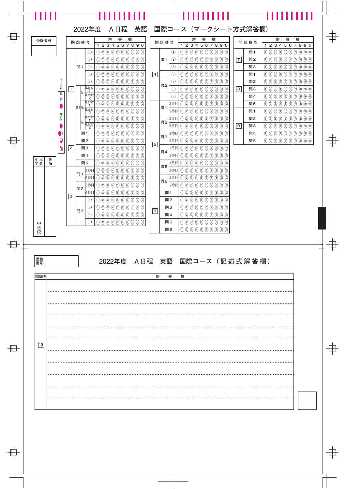

| $  -$     |  |
|-----------|--|
|           |  |
|           |  |
|           |  |
|           |  |
|           |  |
|           |  |
| $- - - -$ |  |
|           |  |
|           |  |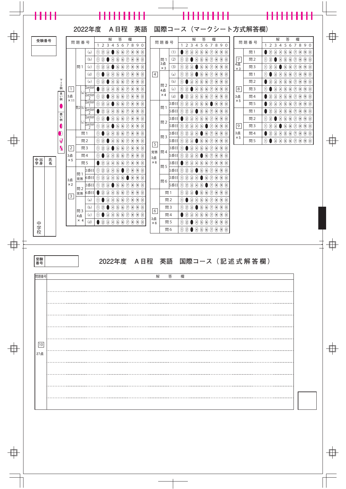

| $  -$     |  |
|-----------|--|
|           |  |
|           |  |
|           |  |
|           |  |
|           |  |
|           |  |
| $- - - -$ |  |
|           |  |
|           |  |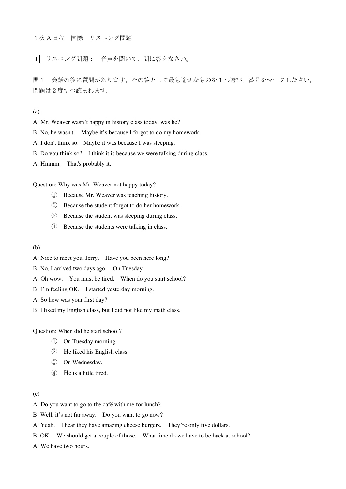#### 1次 A 日程 国際 リスニング問題

|1| リスニング問題: 音声を聞いて、問に答えなさい。

問1 会話の後に質問があります。その答として最も適切なものを1つ選び、番号をマークしなさい。 問題は2度ずつ読まれます。

(a)

A: Mr. Weaver wasn't happy in history class today, was he?

B: No, he wasn't. Maybe it's because I forgot to do my homework.

A: I don't think so. Maybe it was because I was sleeping.

B: Do you think so? I think it is because we were talking during class.

A: Hmmm. That's probably it.

Question: Why was Mr. Weaver not happy today?

- ① Because Mr. Weaver was teaching history.
- ② Because the student forgot to do her homework.
- ③ Because the student was sleeping during class.
- ④ Because the students were talking in class.

(b)

A: Nice to meet you, Jerry. Have you been here long?

B: No, I arrived two days ago. On Tuesday.

A: Oh wow. You must be tired. When do you start school?

B: I'm feeling OK. I started yesterday morning.

A: So how was your first day?

B: I liked my English class, but I did not like my math class.

Question: When did he start school?

- ① On Tuesday morning.
- ② He liked his English class.
- ③ On Wednesday.
- ④ He is a little tired.

#### (c)

A: Do you want to go to the café with me for lunch?

B: Well, it's not far away. Do you want to go now?

A: Yeah. I hear they have amazing cheese burgers. They're only five dollars.

B: OK. We should get a couple of those. What time do we have to be back at school?

A: We have two hours.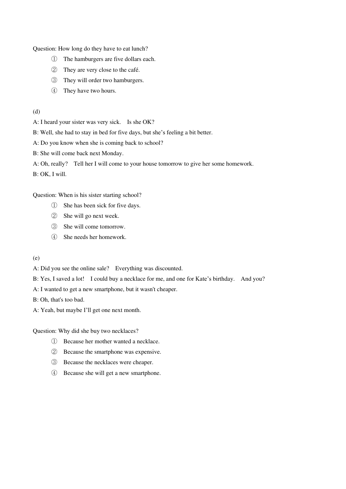Question: How long do they have to eat lunch?

- ① The hamburgers are five dollars each.
- ② They are very close to the café.
- ③ They will order two hamburgers.
- ④ They have two hours.
- (d)

A: I heard your sister was very sick. Is she OK?

B: Well, she had to stay in bed for five days, but she's feeling a bit better.

A: Do you know when she is coming back to school?

B: She will come back next Monday.

A: Oh, really? Tell her I will come to your house tomorrow to give her some homework.

B: OK, I will.

Question: When is his sister starting school?

- ① She has been sick for five days.
- ② She will go next week.
- ③ She will come tomorrow.
- ④ She needs her homework.
- (e)

A: Did you see the online sale? Everything was discounted.

B: Yes, I saved a lot! I could buy a necklace for me, and one for Kate's birthday. And you?

A: I wanted to get a new smartphone, but it wasn't cheaper.

B: Oh, that's too bad.

A: Yeah, but maybe I'll get one next month.

Question: Why did she buy two necklaces?

- ① Because her mother wanted a necklace.
- ② Because the smartphone was expensive.
- ③ Because the necklaces were cheaper.
- ④ Because she will get a new smartphone.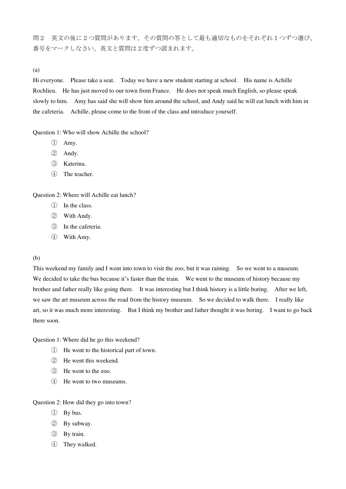問2 英文の後に2つ質問があります。その質問の答として最も適切なものをそれぞれ1つずつ選び、 番号をマークしなさい。英文と質問は2度ずつ読まれます。

(a)

Hi everyone. Please take a seat. Today we have a new student starting at school. His name is Achille Rochlieu. He has just moved to our town from France. He does not speak much English, so please speak slowly to him. Amy has said she will show him around the school, and Andy said he will eat lunch with him in the cafeteria. Achille, please come to the front of the class and introduce yourself.

Question 1: Who will show Achille the school?

- ① Amy.
- ② Andy.
- ③ Katerina.
- ④ The teacher.

Question 2: Where will Achille eat lunch?

- ① In the class.
- ② With Andy.
- ③ In the cafeteria.
- ④ With Amy.

#### (b)

This weekend my family and I went into town to visit the zoo, but it was raining. So we went to a museum. We decided to take the bus because it's faster than the train. We went to the museum of history because my brother and father really like going there. It was interesting but I think history is a little boring. After we left, we saw the art museum across the road from the history museum. So we decided to walk there. I really like art, so it was much more interesting. But I think my brother and father thought it was boring. I want to go back there soon.

Question 1: Where did he go this weekend?

- ① He went to the historical part of town.
- ② He went this weekend.
- ③ He went to the zoo.
- ④ He went to two museums.

Question 2: How did they go into town?

- ① By bus.
- ② By subway.
- ③ By train.
- ④ They walked.